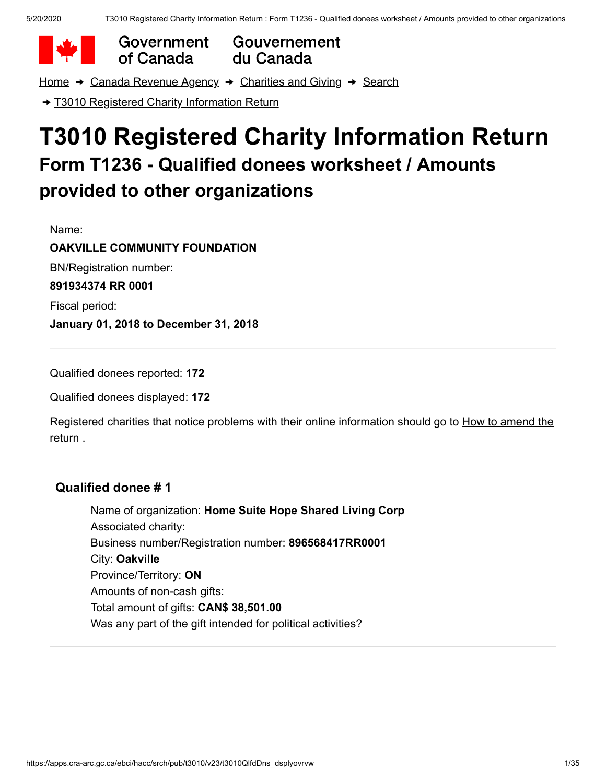Government of Canada

Gouvernement du Canada

[Home](https://apps.cra-arc.gc.ca/ebci/hacc/srch/pub/rdrctToLnk?linkKey=breadcrumbHome)  $\rightarrow$  [Canada Revenue Agency](https://apps.cra-arc.gc.ca/ebci/hacc/srch/pub/rdrctToLnk?linkKey=breadcrumbCRA)  $\rightarrow$  [Charities and Giving](https://apps.cra-arc.gc.ca/ebci/hacc/srch/pub/rdrctToLnk?linkKey=breadcrumbCharities)  $\rightarrow$  [Search](https://apps.cra-arc.gc.ca/ebci/hacc/srch/pub/rdrctToLnk?linkKey=breadcrumbSearch)

→ [T3010 Registered Charity Information Return](https://apps.cra-arc.gc.ca/ebci/hacc/srch/pub/t3010/v23/t3010ovrvw)

# **T3010 Registered Charity Information Return Form T1236 - Qualified donees worksheet / Amounts provided to other organizations**

Name: **OAKVILLE COMMUNITY FOUNDATION** BN/Registration number: **891934374 RR 0001** Fiscal period: **January 01, 2018 to December 31, 2018**

Qualified donees reported: **172**

Qualified donees displayed: **172**

[Registered charities that notice problems with their online information should go to How to amend the](https://www.canada.ca/en/revenue-agency/services/charities-giving/charities/operating-a-registered-charity/t3010-charity-return-after-you-file.html#mndng) return .

### **Qualified donee # 1**

Name of organization: **Home Suite Hope Shared Living Corp** Associated charity: Business number/Registration number: **896568417RR0001** City: **Oakville** Province/Territory: **ON** Amounts of non-cash gifts: Total amount of gifts: **CAN\$ 38,501.00** Was any part of the gift intended for political activities?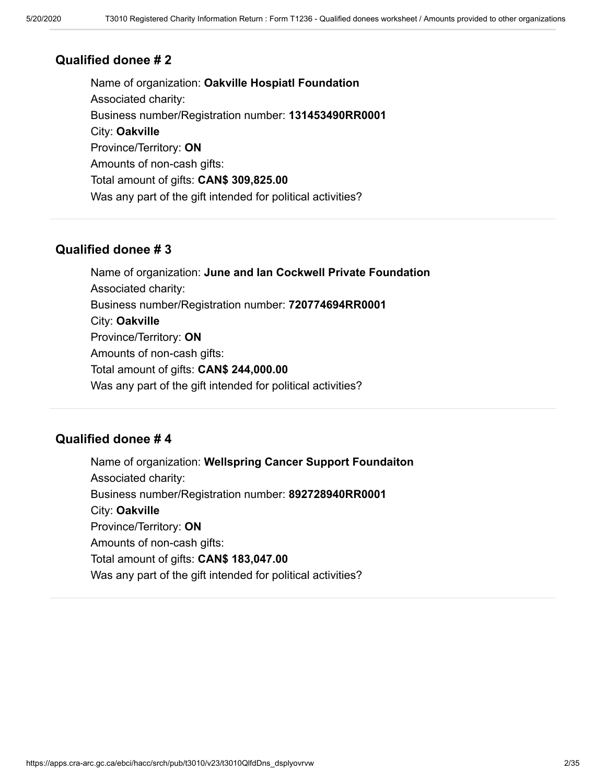Name of organization: **Oakville Hospiatl Foundation** Associated charity: Business number/Registration number: **131453490RR0001** City: **Oakville** Province/Territory: **ON** Amounts of non-cash gifts: Total amount of gifts: **CAN\$ 309,825.00** Was any part of the gift intended for political activities?

### **Qualified donee # 3**

Name of organization: **June and Ian Cockwell Private Foundation** Associated charity: Business number/Registration number: **720774694RR0001** City: **Oakville** Province/Territory: **ON** Amounts of non-cash gifts: Total amount of gifts: **CAN\$ 244,000.00** Was any part of the gift intended for political activities?

### **Qualified donee # 4**

Name of organization: **Wellspring Cancer Support Foundaiton** Associated charity: Business number/Registration number: **892728940RR0001** City: **Oakville** Province/Territory: **ON** Amounts of non-cash gifts: Total amount of gifts: **CAN\$ 183,047.00** Was any part of the gift intended for political activities?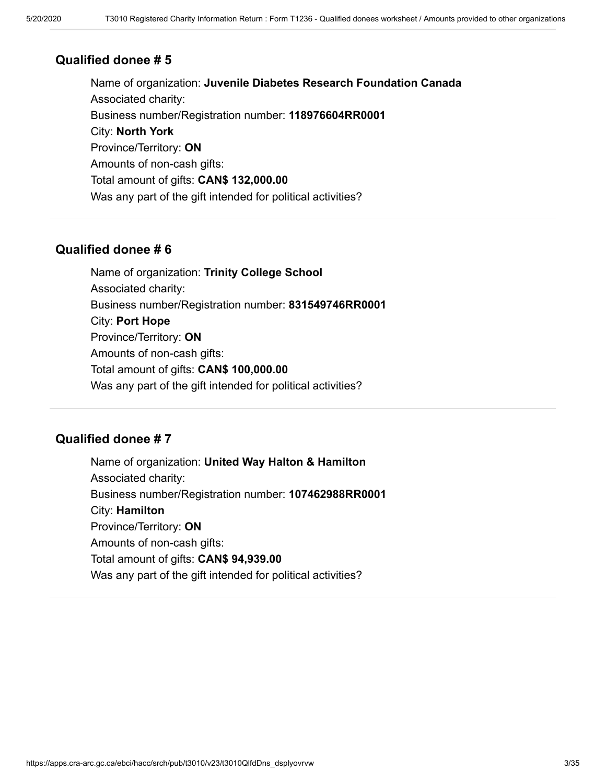Name of organization: **Juvenile Diabetes Research Foundation Canada** Associated charity: Business number/Registration number: **118976604RR0001** City: **North York** Province/Territory: **ON** Amounts of non-cash gifts: Total amount of gifts: **CAN\$ 132,000.00** Was any part of the gift intended for political activities?

### **Qualified donee # 6**

Name of organization: **Trinity College School** Associated charity: Business number/Registration number: **831549746RR0001** City: **Port Hope** Province/Territory: **ON** Amounts of non-cash gifts: Total amount of gifts: **CAN\$ 100,000.00** Was any part of the gift intended for political activities?

### **Qualified donee # 7**

Name of organization: **United Way Halton & Hamilton** Associated charity: Business number/Registration number: **107462988RR0001** City: **Hamilton** Province/Territory: **ON** Amounts of non-cash gifts: Total amount of gifts: **CAN\$ 94,939.00** Was any part of the gift intended for political activities?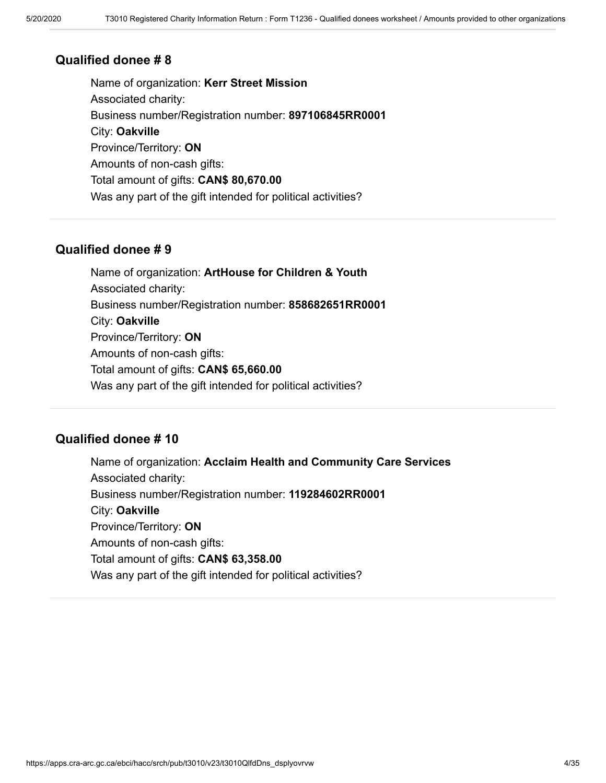Name of organization: **Kerr Street Mission** Associated charity: Business number/Registration number: **897106845RR0001** City: **Oakville** Province/Territory: **ON** Amounts of non-cash gifts: Total amount of gifts: **CAN\$ 80,670.00** Was any part of the gift intended for political activities?

### **Qualified donee # 9**

Name of organization: **ArtHouse for Children & Youth** Associated charity: Business number/Registration number: **858682651RR0001** City: **Oakville** Province/Territory: **ON** Amounts of non-cash gifts: Total amount of gifts: **CAN\$ 65,660.00** Was any part of the gift intended for political activities?

### **Qualified donee # 10**

Name of organization: **Acclaim Health and Community Care Services** Associated charity: Business number/Registration number: **119284602RR0001** City: **Oakville** Province/Territory: **ON** Amounts of non-cash gifts: Total amount of gifts: **CAN\$ 63,358.00** Was any part of the gift intended for political activities?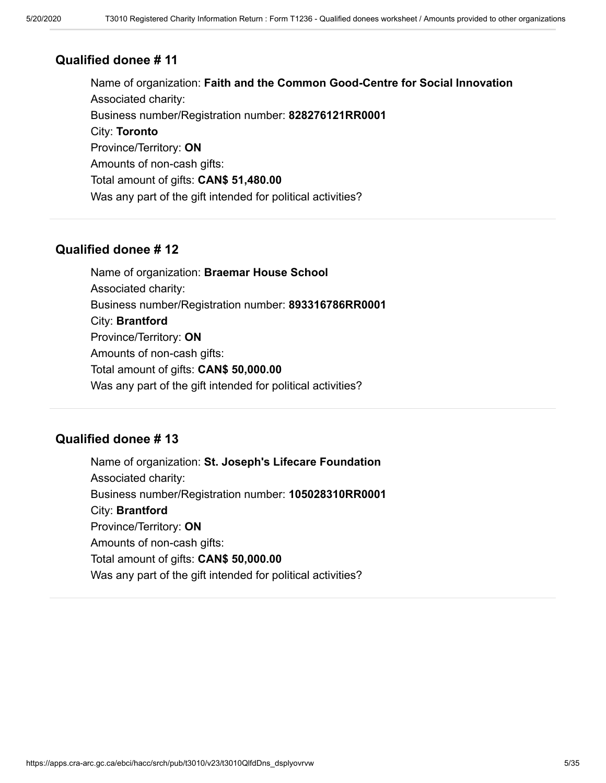Name of organization: **Faith and the Common Good-Centre for Social Innovation** Associated charity: Business number/Registration number: **828276121RR0001** City: **Toronto** Province/Territory: **ON** Amounts of non-cash gifts: Total amount of gifts: **CAN\$ 51,480.00** Was any part of the gift intended for political activities?

### **Qualified donee # 12**

Name of organization: **Braemar House School** Associated charity: Business number/Registration number: **893316786RR0001** City: **Brantford** Province/Territory: **ON** Amounts of non-cash gifts: Total amount of gifts: **CAN\$ 50,000.00** Was any part of the gift intended for political activities?

### **Qualified donee # 13**

Name of organization: **St. Joseph's Lifecare Foundation** Associated charity: Business number/Registration number: **105028310RR0001** City: **Brantford** Province/Territory: **ON** Amounts of non-cash gifts: Total amount of gifts: **CAN\$ 50,000.00** Was any part of the gift intended for political activities?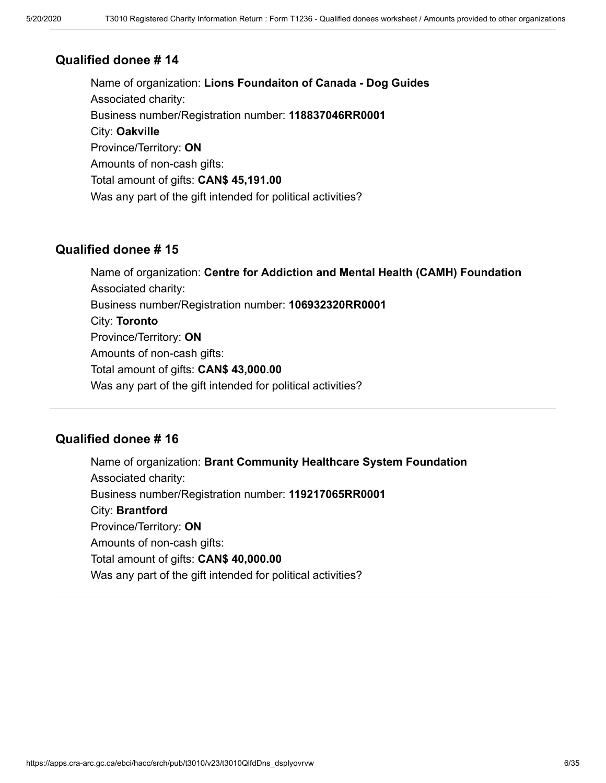Name of organization: **Lions Foundaiton of Canada - Dog Guides** Associated charity: Business number/Registration number: **118837046RR0001** City: **Oakville** Province/Territory: **ON** Amounts of non-cash gifts: Total amount of gifts: **CAN\$ 45,191.00** Was any part of the gift intended for political activities?

### **Qualified donee # 15**

Name of organization: **Centre for Addiction and Mental Health (CAMH) Foundation** Associated charity: Business number/Registration number: **106932320RR0001** City: **Toronto** Province/Territory: **ON** Amounts of non-cash gifts: Total amount of gifts: **CAN\$ 43,000.00** Was any part of the gift intended for political activities?

### **Qualified donee # 16**

Name of organization: **Brant Community Healthcare System Foundation** Associated charity: Business number/Registration number: **119217065RR0001** City: **Brantford** Province/Territory: **ON** Amounts of non-cash gifts: Total amount of gifts: **CAN\$ 40,000.00** Was any part of the gift intended for political activities?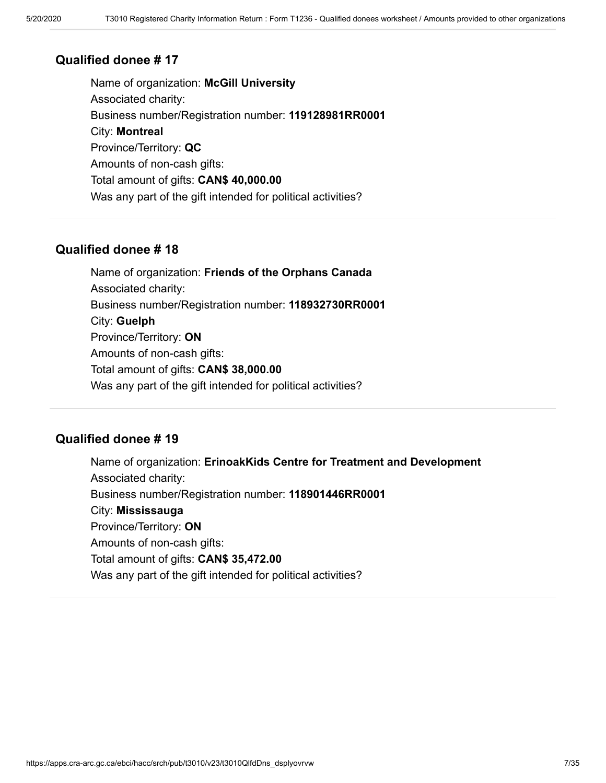Name of organization: **McGill University** Associated charity: Business number/Registration number: **119128981RR0001** City: **Montreal** Province/Territory: **QC** Amounts of non-cash gifts: Total amount of gifts: **CAN\$ 40,000.00** Was any part of the gift intended for political activities?

### **Qualified donee # 18**

Name of organization: **Friends of the Orphans Canada** Associated charity: Business number/Registration number: **118932730RR0001** City: **Guelph** Province/Territory: **ON** Amounts of non-cash gifts: Total amount of gifts: **CAN\$ 38,000.00** Was any part of the gift intended for political activities?

### **Qualified donee # 19**

Name of organization: **ErinoakKids Centre for Treatment and Development** Associated charity: Business number/Registration number: **118901446RR0001** City: **Mississauga** Province/Territory: **ON** Amounts of non-cash gifts: Total amount of gifts: **CAN\$ 35,472.00** Was any part of the gift intended for political activities?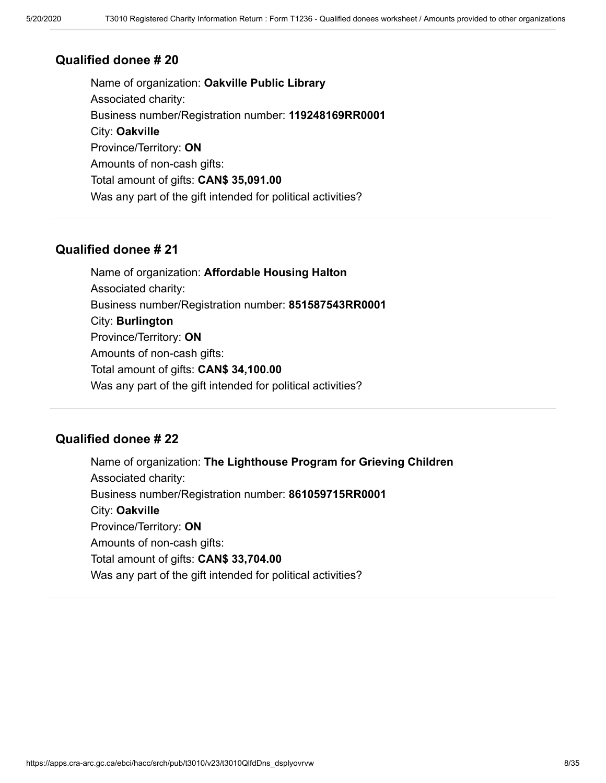Name of organization: **Oakville Public Library** Associated charity: Business number/Registration number: **119248169RR0001** City: **Oakville** Province/Territory: **ON** Amounts of non-cash gifts: Total amount of gifts: **CAN\$ 35,091.00** Was any part of the gift intended for political activities?

### **Qualified donee # 21**

Name of organization: **Affordable Housing Halton** Associated charity: Business number/Registration number: **851587543RR0001** City: **Burlington** Province/Territory: **ON** Amounts of non-cash gifts: Total amount of gifts: **CAN\$ 34,100.00** Was any part of the gift intended for political activities?

### **Qualified donee # 22**

Name of organization: **The Lighthouse Program for Grieving Children** Associated charity: Business number/Registration number: **861059715RR0001** City: **Oakville** Province/Territory: **ON** Amounts of non-cash gifts: Total amount of gifts: **CAN\$ 33,704.00** Was any part of the gift intended for political activities?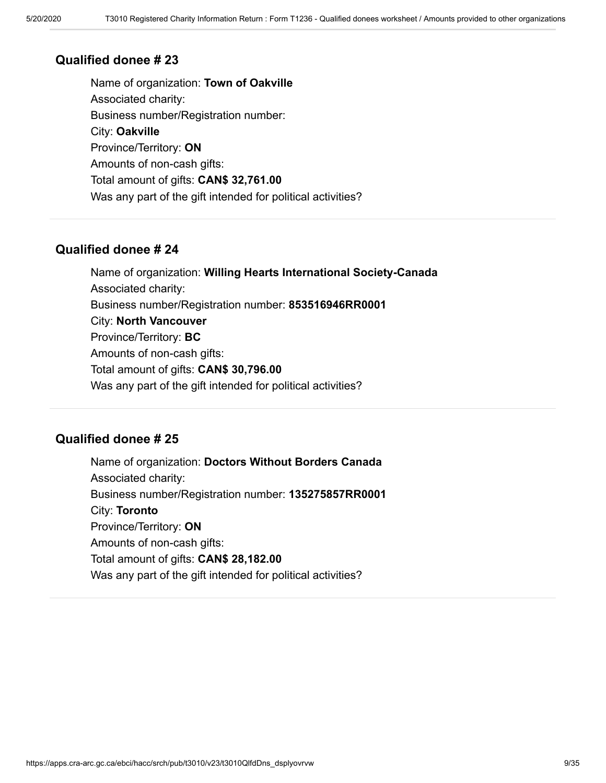Name of organization: **Town of Oakville** Associated charity: Business number/Registration number: City: **Oakville** Province/Territory: **ON** Amounts of non-cash gifts: Total amount of gifts: **CAN\$ 32,761.00** Was any part of the gift intended for political activities?

#### **Qualified donee # 24**

Name of organization: **Willing Hearts International Society-Canada** Associated charity: Business number/Registration number: **853516946RR0001** City: **North Vancouver** Province/Territory: **BC** Amounts of non-cash gifts: Total amount of gifts: **CAN\$ 30,796.00** Was any part of the gift intended for political activities?

### **Qualified donee # 25**

Name of organization: **Doctors Without Borders Canada** Associated charity: Business number/Registration number: **135275857RR0001** City: **Toronto** Province/Territory: **ON** Amounts of non-cash gifts: Total amount of gifts: **CAN\$ 28,182.00** Was any part of the gift intended for political activities?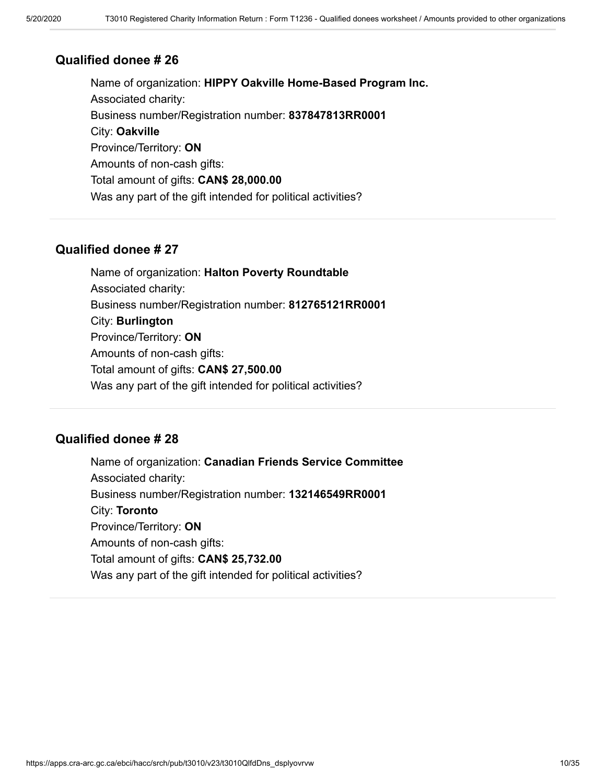Name of organization: **HIPPY Oakville Home-Based Program Inc.** Associated charity: Business number/Registration number: **837847813RR0001** City: **Oakville** Province/Territory: **ON** Amounts of non-cash gifts: Total amount of gifts: **CAN\$ 28,000.00** Was any part of the gift intended for political activities?

### **Qualified donee # 27**

Name of organization: **Halton Poverty Roundtable** Associated charity: Business number/Registration number: **812765121RR0001** City: **Burlington** Province/Territory: **ON** Amounts of non-cash gifts: Total amount of gifts: **CAN\$ 27,500.00** Was any part of the gift intended for political activities?

### **Qualified donee # 28**

Name of organization: **Canadian Friends Service Committee** Associated charity: Business number/Registration number: **132146549RR0001** City: **Toronto** Province/Territory: **ON** Amounts of non-cash gifts: Total amount of gifts: **CAN\$ 25,732.00** Was any part of the gift intended for political activities?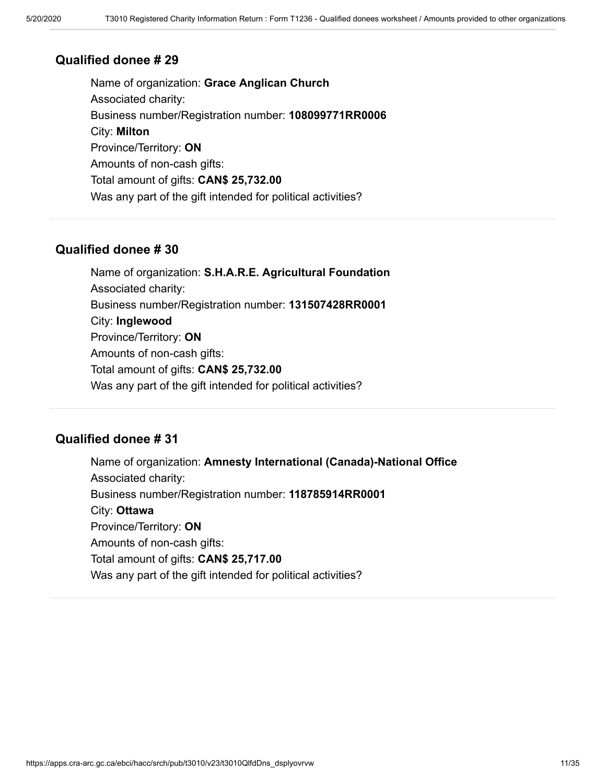Name of organization: **Grace Anglican Church** Associated charity: Business number/Registration number: **108099771RR0006** City: **Milton** Province/Territory: **ON** Amounts of non-cash gifts: Total amount of gifts: **CAN\$ 25,732.00** Was any part of the gift intended for political activities?

### **Qualified donee # 30**

Name of organization: **S.H.A.R.E. Agricultural Foundation** Associated charity: Business number/Registration number: **131507428RR0001** City: **Inglewood** Province/Territory: **ON** Amounts of non-cash gifts: Total amount of gifts: **CAN\$ 25,732.00** Was any part of the gift intended for political activities?

### **Qualified donee # 31**

Name of organization: **Amnesty International (Canada)-National Office** Associated charity: Business number/Registration number: **118785914RR0001** City: **Ottawa** Province/Territory: **ON** Amounts of non-cash gifts: Total amount of gifts: **CAN\$ 25,717.00** Was any part of the gift intended for political activities?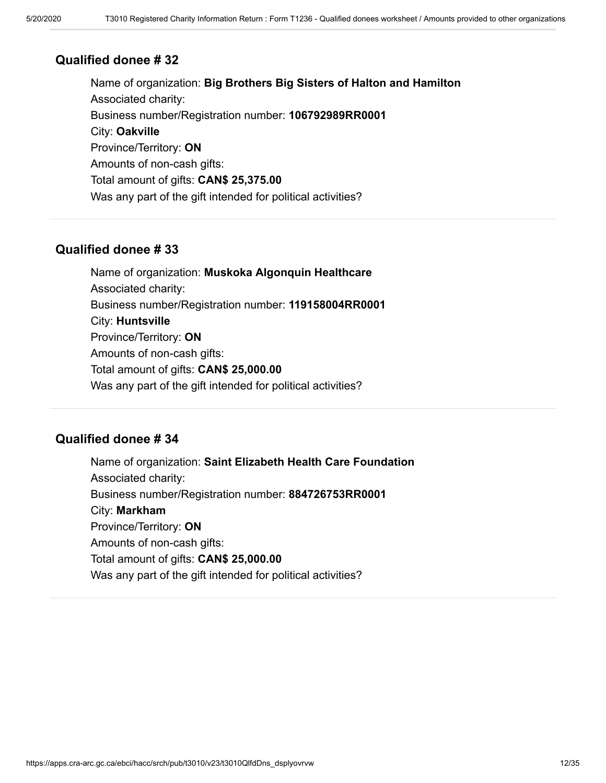Name of organization: **Big Brothers Big Sisters of Halton and Hamilton** Associated charity: Business number/Registration number: **106792989RR0001** City: **Oakville** Province/Territory: **ON** Amounts of non-cash gifts: Total amount of gifts: **CAN\$ 25,375.00** Was any part of the gift intended for political activities?

### **Qualified donee # 33**

Name of organization: **Muskoka Algonquin Healthcare** Associated charity: Business number/Registration number: **119158004RR0001** City: **Huntsville** Province/Territory: **ON** Amounts of non-cash gifts: Total amount of gifts: **CAN\$ 25,000.00** Was any part of the gift intended for political activities?

### **Qualified donee # 34**

Name of organization: **Saint Elizabeth Health Care Foundation** Associated charity: Business number/Registration number: **884726753RR0001** City: **Markham** Province/Territory: **ON** Amounts of non-cash gifts: Total amount of gifts: **CAN\$ 25,000.00** Was any part of the gift intended for political activities?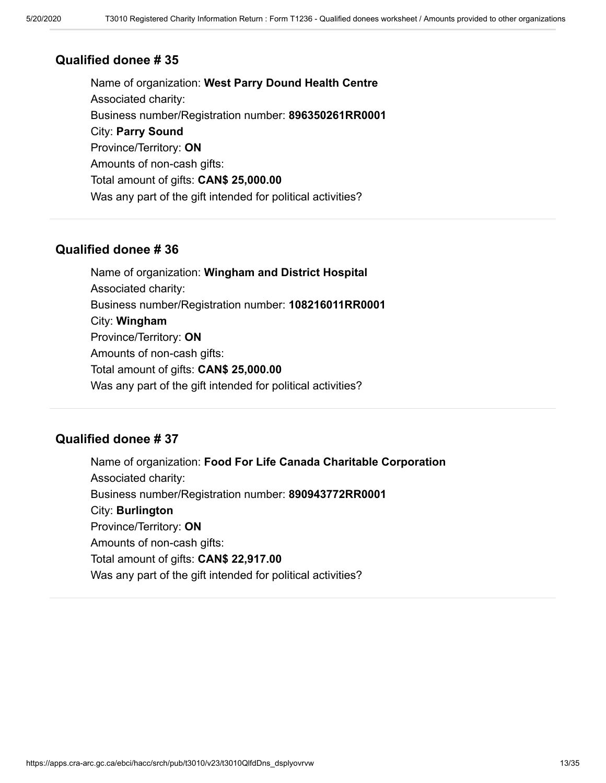Name of organization: **West Parry Dound Health Centre** Associated charity: Business number/Registration number: **896350261RR0001** City: **Parry Sound** Province/Territory: **ON** Amounts of non-cash gifts: Total amount of gifts: **CAN\$ 25,000.00** Was any part of the gift intended for political activities?

### **Qualified donee # 36**

Name of organization: **Wingham and District Hospital** Associated charity: Business number/Registration number: **108216011RR0001** City: **Wingham** Province/Territory: **ON** Amounts of non-cash gifts: Total amount of gifts: **CAN\$ 25,000.00** Was any part of the gift intended for political activities?

### **Qualified donee # 37**

Name of organization: **Food For Life Canada Charitable Corporation** Associated charity: Business number/Registration number: **890943772RR0001** City: **Burlington** Province/Territory: **ON** Amounts of non-cash gifts: Total amount of gifts: **CAN\$ 22,917.00** Was any part of the gift intended for political activities?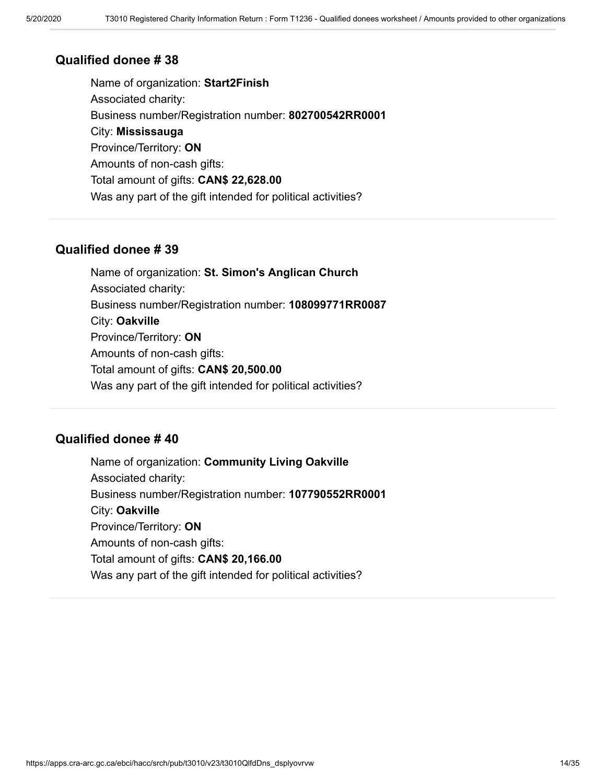Name of organization: **Start2Finish** Associated charity: Business number/Registration number: **802700542RR0001** City: **Mississauga** Province/Territory: **ON** Amounts of non-cash gifts: Total amount of gifts: **CAN\$ 22,628.00** Was any part of the gift intended for political activities?

### **Qualified donee # 39**

Name of organization: **St. Simon's Anglican Church** Associated charity: Business number/Registration number: **108099771RR0087** City: **Oakville** Province/Territory: **ON** Amounts of non-cash gifts: Total amount of gifts: **CAN\$ 20,500.00** Was any part of the gift intended for political activities?

### **Qualified donee # 40**

Name of organization: **Community Living Oakville** Associated charity: Business number/Registration number: **107790552RR0001** City: **Oakville** Province/Territory: **ON** Amounts of non-cash gifts: Total amount of gifts: **CAN\$ 20,166.00** Was any part of the gift intended for political activities?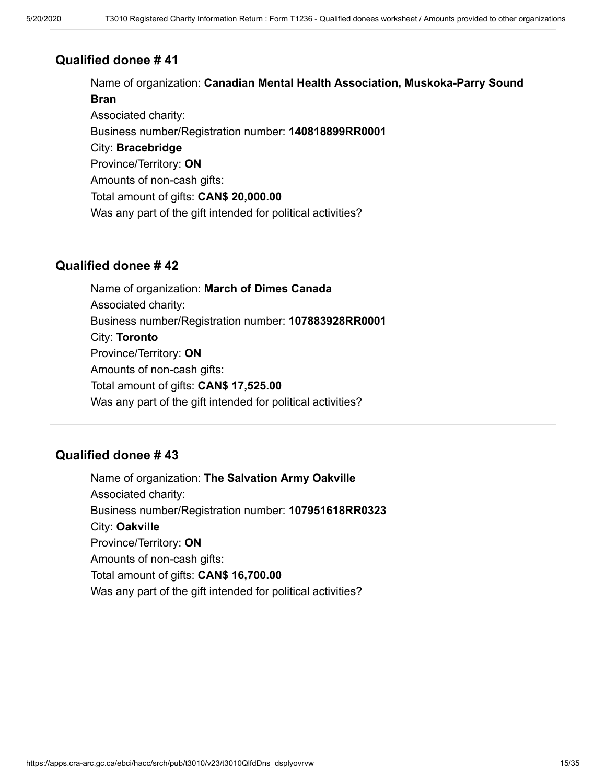Name of organization: **Canadian Mental Health Association, Muskoka-Parry Sound Bran** Associated charity: Business number/Registration number: **140818899RR0001** City: **Bracebridge** Province/Territory: **ON** Amounts of non-cash gifts: Total amount of gifts: **CAN\$ 20,000.00** Was any part of the gift intended for political activities?

### **Qualified donee # 42**

Name of organization: **March of Dimes Canada** Associated charity: Business number/Registration number: **107883928RR0001** City: **Toronto** Province/Territory: **ON** Amounts of non-cash gifts: Total amount of gifts: **CAN\$ 17,525.00** Was any part of the gift intended for political activities?

### **Qualified donee # 43**

Name of organization: **The Salvation Army Oakville** Associated charity: Business number/Registration number: **107951618RR0323** City: **Oakville** Province/Territory: **ON** Amounts of non-cash gifts: Total amount of gifts: **CAN\$ 16,700.00** Was any part of the gift intended for political activities?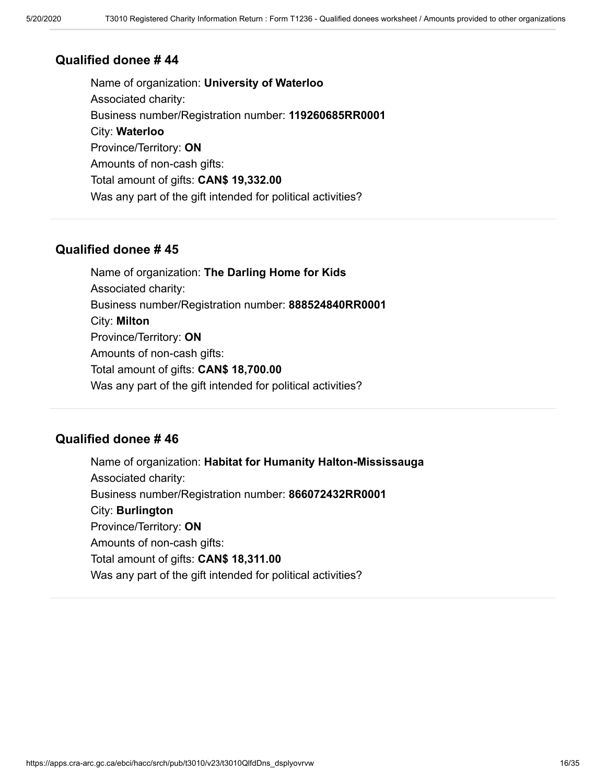Name of organization: **University of Waterloo** Associated charity: Business number/Registration number: **119260685RR0001** City: **Waterloo** Province/Territory: **ON** Amounts of non-cash gifts: Total amount of gifts: **CAN\$ 19,332.00** Was any part of the gift intended for political activities?

### **Qualified donee # 45**

Name of organization: **The Darling Home for Kids** Associated charity: Business number/Registration number: **888524840RR0001** City: **Milton** Province/Territory: **ON** Amounts of non-cash gifts: Total amount of gifts: **CAN\$ 18,700.00** Was any part of the gift intended for political activities?

### **Qualified donee # 46**

Name of organization: **Habitat for Humanity Halton-Mississauga** Associated charity: Business number/Registration number: **866072432RR0001** City: **Burlington** Province/Territory: **ON** Amounts of non-cash gifts: Total amount of gifts: **CAN\$ 18,311.00** Was any part of the gift intended for political activities?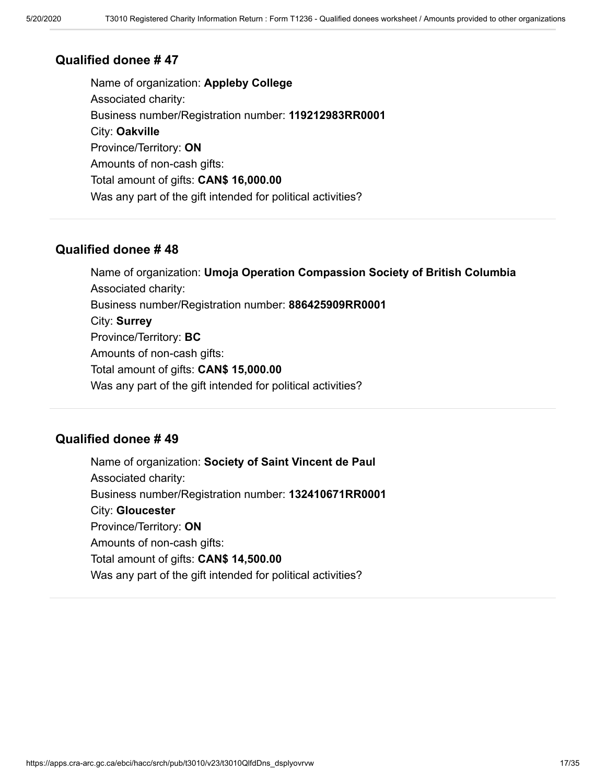Name of organization: **Appleby College** Associated charity: Business number/Registration number: **119212983RR0001** City: **Oakville** Province/Territory: **ON** Amounts of non-cash gifts: Total amount of gifts: **CAN\$ 16,000.00** Was any part of the gift intended for political activities?

### **Qualified donee # 48**

Name of organization: **Umoja Operation Compassion Society of British Columbia** Associated charity: Business number/Registration number: **886425909RR0001** City: **Surrey** Province/Territory: **BC** Amounts of non-cash gifts: Total amount of gifts: **CAN\$ 15,000.00** Was any part of the gift intended for political activities?

### **Qualified donee # 49**

Name of organization: **Society of Saint Vincent de Paul** Associated charity: Business number/Registration number: **132410671RR0001** City: **Gloucester** Province/Territory: **ON** Amounts of non-cash gifts: Total amount of gifts: **CAN\$ 14,500.00** Was any part of the gift intended for political activities?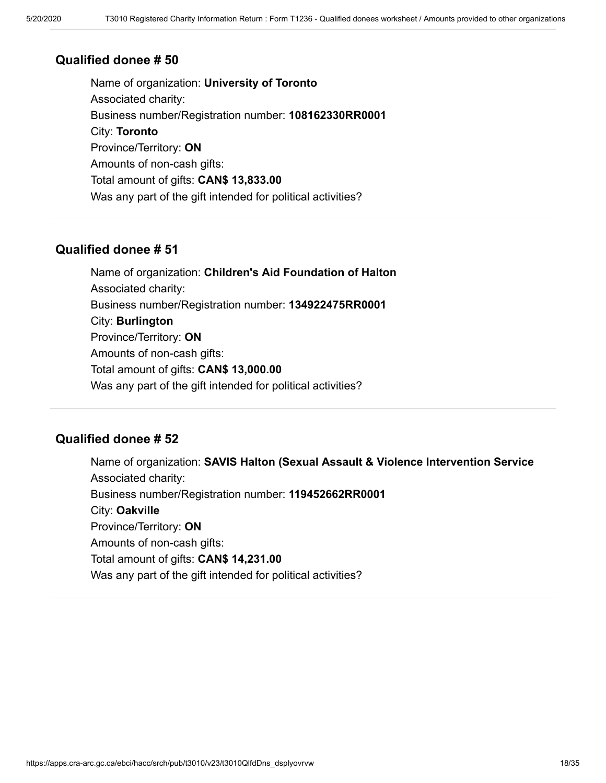Name of organization: **University of Toronto** Associated charity: Business number/Registration number: **108162330RR0001** City: **Toronto** Province/Territory: **ON** Amounts of non-cash gifts: Total amount of gifts: **CAN\$ 13,833.00** Was any part of the gift intended for political activities?

### **Qualified donee # 51**

Name of organization: **Children's Aid Foundation of Halton** Associated charity: Business number/Registration number: **134922475RR0001** City: **Burlington** Province/Territory: **ON** Amounts of non-cash gifts: Total amount of gifts: **CAN\$ 13,000.00** Was any part of the gift intended for political activities?

### **Qualified donee # 52**

Name of organization: **SAVIS Halton (Sexual Assault & Violence Intervention Service** Associated charity: Business number/Registration number: **119452662RR0001** City: **Oakville** Province/Territory: **ON** Amounts of non-cash gifts: Total amount of gifts: **CAN\$ 14,231.00** Was any part of the gift intended for political activities?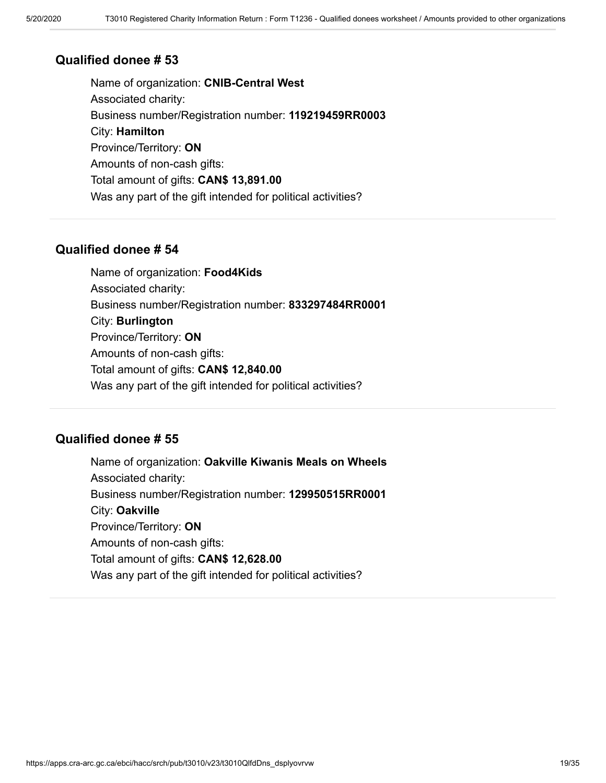Name of organization: **CNIB-Central West** Associated charity: Business number/Registration number: **119219459RR0003** City: **Hamilton** Province/Territory: **ON** Amounts of non-cash gifts: Total amount of gifts: **CAN\$ 13,891.00** Was any part of the gift intended for political activities?

#### **Qualified donee # 54**

Name of organization: **Food4Kids** Associated charity: Business number/Registration number: **833297484RR0001** City: **Burlington** Province/Territory: **ON** Amounts of non-cash gifts: Total amount of gifts: **CAN\$ 12,840.00** Was any part of the gift intended for political activities?

### **Qualified donee # 55**

Name of organization: **Oakville Kiwanis Meals on Wheels** Associated charity: Business number/Registration number: **129950515RR0001** City: **Oakville** Province/Territory: **ON** Amounts of non-cash gifts: Total amount of gifts: **CAN\$ 12,628.00** Was any part of the gift intended for political activities?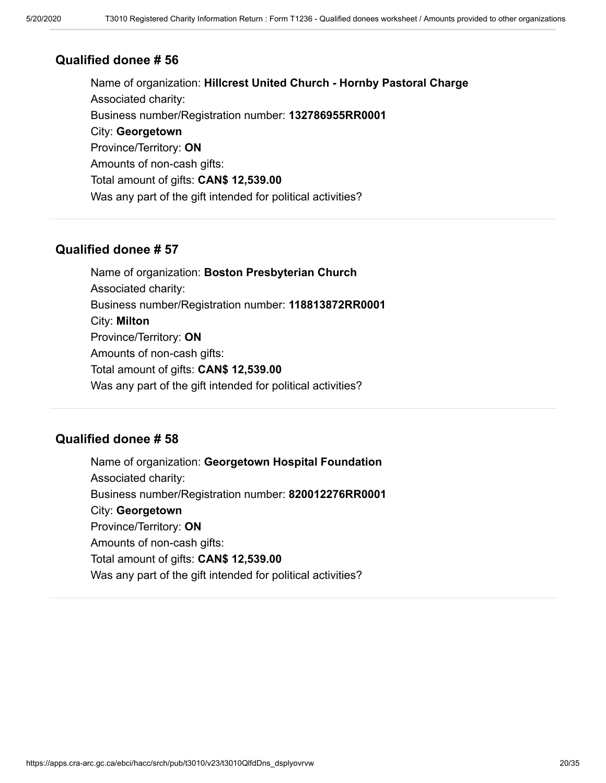Name of organization: **Hillcrest United Church - Hornby Pastoral Charge** Associated charity: Business number/Registration number: **132786955RR0001** City: **Georgetown** Province/Territory: **ON** Amounts of non-cash gifts: Total amount of gifts: **CAN\$ 12,539.00** Was any part of the gift intended for political activities?

### **Qualified donee # 57**

Name of organization: **Boston Presbyterian Church** Associated charity: Business number/Registration number: **118813872RR0001** City: **Milton** Province/Territory: **ON** Amounts of non-cash gifts: Total amount of gifts: **CAN\$ 12,539.00** Was any part of the gift intended for political activities?

### **Qualified donee # 58**

Name of organization: **Georgetown Hospital Foundation** Associated charity: Business number/Registration number: **820012276RR0001** City: **Georgetown** Province/Territory: **ON** Amounts of non-cash gifts: Total amount of gifts: **CAN\$ 12,539.00** Was any part of the gift intended for political activities?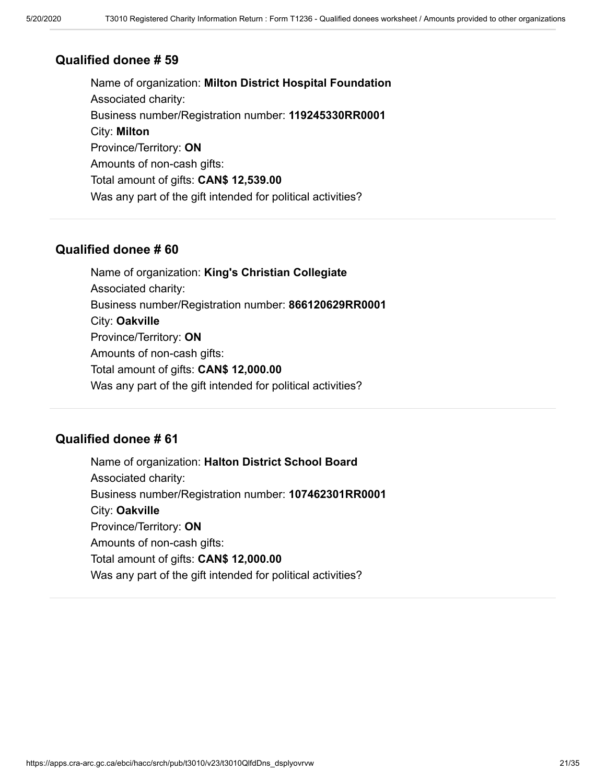Name of organization: **Milton District Hospital Foundation** Associated charity: Business number/Registration number: **119245330RR0001** City: **Milton** Province/Territory: **ON** Amounts of non-cash gifts: Total amount of gifts: **CAN\$ 12,539.00** Was any part of the gift intended for political activities?

#### **Qualified donee # 60**

Name of organization: **King's Christian Collegiate** Associated charity: Business number/Registration number: **866120629RR0001** City: **Oakville** Province/Territory: **ON** Amounts of non-cash gifts: Total amount of gifts: **CAN\$ 12,000.00** Was any part of the gift intended for political activities?

### **Qualified donee # 61**

Name of organization: **Halton District School Board** Associated charity: Business number/Registration number: **107462301RR0001** City: **Oakville** Province/Territory: **ON** Amounts of non-cash gifts: Total amount of gifts: **CAN\$ 12,000.00** Was any part of the gift intended for political activities?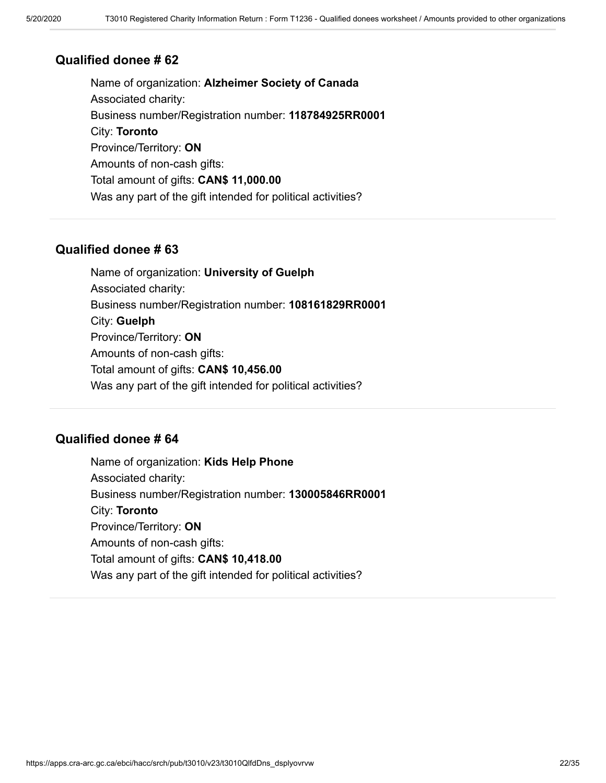Name of organization: **Alzheimer Society of Canada** Associated charity: Business number/Registration number: **118784925RR0001** City: **Toronto** Province/Territory: **ON** Amounts of non-cash gifts: Total amount of gifts: **CAN\$ 11,000.00** Was any part of the gift intended for political activities?

### **Qualified donee # 63**

Name of organization: **University of Guelph** Associated charity: Business number/Registration number: **108161829RR0001** City: **Guelph** Province/Territory: **ON** Amounts of non-cash gifts: Total amount of gifts: **CAN\$ 10,456.00** Was any part of the gift intended for political activities?

### **Qualified donee # 64**

Name of organization: **Kids Help Phone** Associated charity: Business number/Registration number: **130005846RR0001** City: **Toronto** Province/Territory: **ON** Amounts of non-cash gifts: Total amount of gifts: **CAN\$ 10,418.00** Was any part of the gift intended for political activities?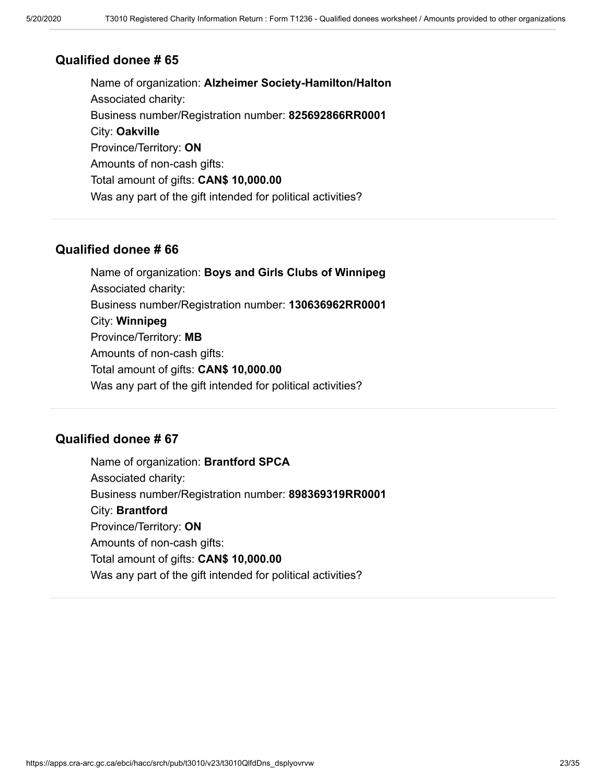Name of organization: **Alzheimer Society-Hamilton/Halton** Associated charity: Business number/Registration number: **825692866RR0001** City: **Oakville** Province/Territory: **ON** Amounts of non-cash gifts: Total amount of gifts: **CAN\$ 10,000.00** Was any part of the gift intended for political activities?

### **Qualified donee # 66**

Name of organization: **Boys and Girls Clubs of Winnipeg** Associated charity: Business number/Registration number: **130636962RR0001** City: **Winnipeg** Province/Territory: **MB** Amounts of non-cash gifts: Total amount of gifts: **CAN\$ 10,000.00** Was any part of the gift intended for political activities?

### **Qualified donee # 67**

Name of organization: **Brantford SPCA** Associated charity: Business number/Registration number: **898369319RR0001** City: **Brantford** Province/Territory: **ON** Amounts of non-cash gifts: Total amount of gifts: **CAN\$ 10,000.00** Was any part of the gift intended for political activities?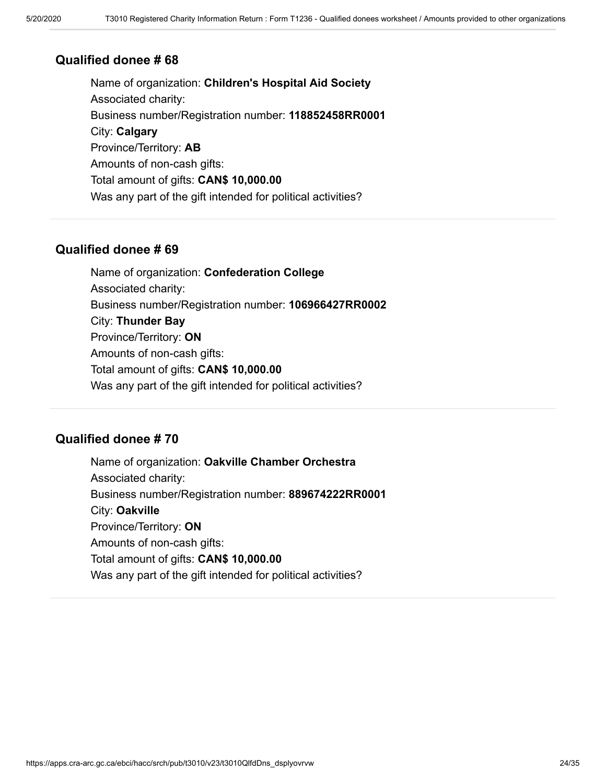Name of organization: **Children's Hospital Aid Society** Associated charity: Business number/Registration number: **118852458RR0001** City: **Calgary** Province/Territory: **AB** Amounts of non-cash gifts: Total amount of gifts: **CAN\$ 10,000.00** Was any part of the gift intended for political activities?

### **Qualified donee # 69**

Name of organization: **Confederation College** Associated charity: Business number/Registration number: **106966427RR0002** City: **Thunder Bay** Province/Territory: **ON** Amounts of non-cash gifts: Total amount of gifts: **CAN\$ 10,000.00** Was any part of the gift intended for political activities?

### **Qualified donee # 70**

Name of organization: **Oakville Chamber Orchestra** Associated charity: Business number/Registration number: **889674222RR0001** City: **Oakville** Province/Territory: **ON** Amounts of non-cash gifts: Total amount of gifts: **CAN\$ 10,000.00** Was any part of the gift intended for political activities?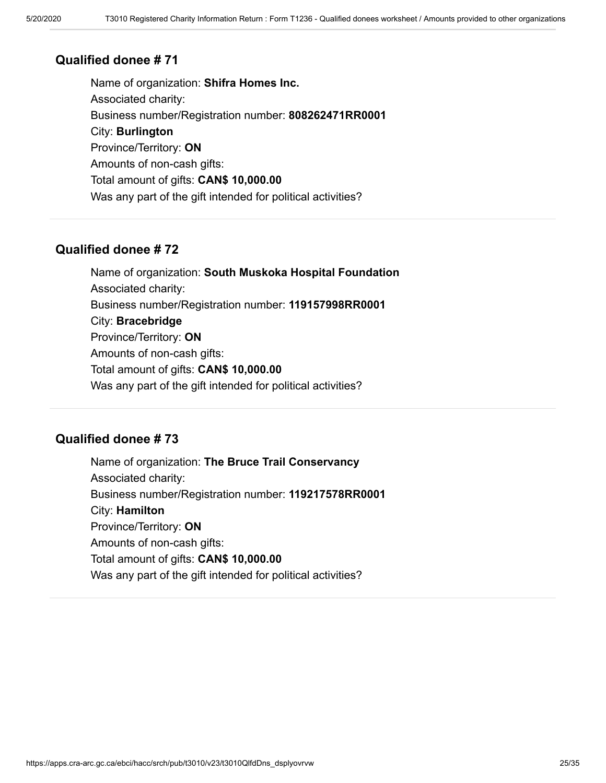Name of organization: **Shifra Homes Inc.** Associated charity: Business number/Registration number: **808262471RR0001** City: **Burlington** Province/Territory: **ON** Amounts of non-cash gifts: Total amount of gifts: **CAN\$ 10,000.00** Was any part of the gift intended for political activities?

### **Qualified donee # 72**

Name of organization: **South Muskoka Hospital Foundation** Associated charity: Business number/Registration number: **119157998RR0001** City: **Bracebridge** Province/Territory: **ON** Amounts of non-cash gifts: Total amount of gifts: **CAN\$ 10,000.00** Was any part of the gift intended for political activities?

### **Qualified donee # 73**

Name of organization: **The Bruce Trail Conservancy** Associated charity: Business number/Registration number: **119217578RR0001** City: **Hamilton** Province/Territory: **ON** Amounts of non-cash gifts: Total amount of gifts: **CAN\$ 10,000.00** Was any part of the gift intended for political activities?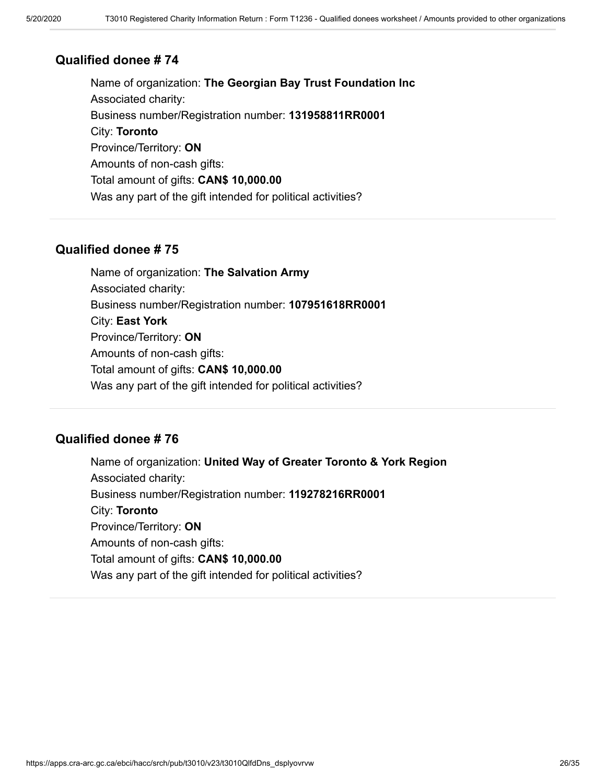Name of organization: **The Georgian Bay Trust Foundation Inc** Associated charity: Business number/Registration number: **131958811RR0001** City: **Toronto** Province/Territory: **ON** Amounts of non-cash gifts: Total amount of gifts: **CAN\$ 10,000.00** Was any part of the gift intended for political activities?

### **Qualified donee # 75**

Name of organization: **The Salvation Army** Associated charity: Business number/Registration number: **107951618RR0001** City: **East York** Province/Territory: **ON** Amounts of non-cash gifts: Total amount of gifts: **CAN\$ 10,000.00** Was any part of the gift intended for political activities?

### **Qualified donee # 76**

Name of organization: **United Way of Greater Toronto & York Region** Associated charity: Business number/Registration number: **119278216RR0001** City: **Toronto** Province/Territory: **ON** Amounts of non-cash gifts: Total amount of gifts: **CAN\$ 10,000.00** Was any part of the gift intended for political activities?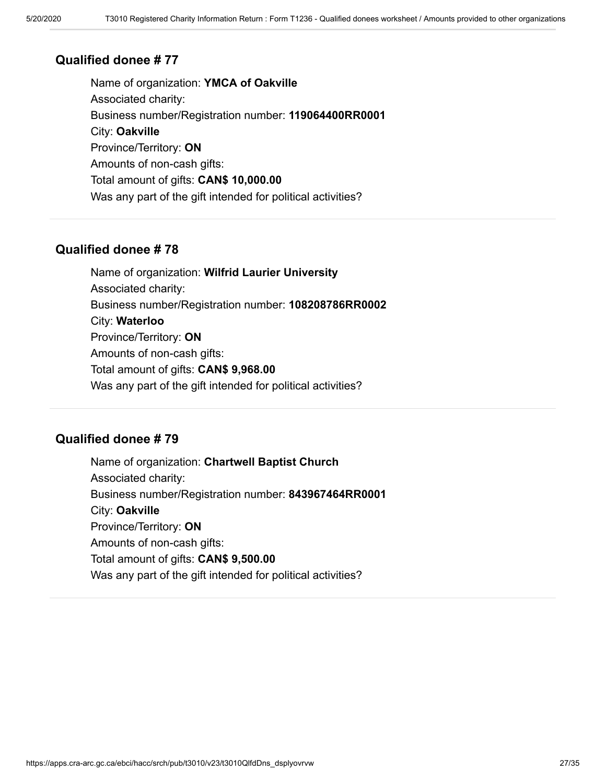Name of organization: **YMCA of Oakville** Associated charity: Business number/Registration number: **119064400RR0001** City: **Oakville** Province/Territory: **ON** Amounts of non-cash gifts: Total amount of gifts: **CAN\$ 10,000.00** Was any part of the gift intended for political activities?

### **Qualified donee # 78**

Name of organization: **Wilfrid Laurier University** Associated charity: Business number/Registration number: **108208786RR0002** City: **Waterloo** Province/Territory: **ON** Amounts of non-cash gifts: Total amount of gifts: **CAN\$ 9,968.00** Was any part of the gift intended for political activities?

### **Qualified donee # 79**

Name of organization: **Chartwell Baptist Church** Associated charity: Business number/Registration number: **843967464RR0001** City: **Oakville** Province/Territory: **ON** Amounts of non-cash gifts: Total amount of gifts: **CAN\$ 9,500.00** Was any part of the gift intended for political activities?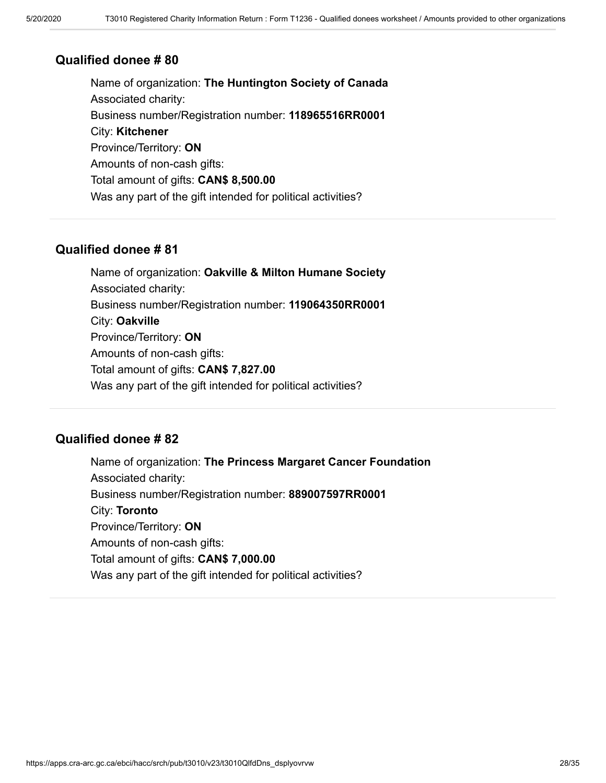Name of organization: **The Huntington Society of Canada** Associated charity: Business number/Registration number: **118965516RR0001** City: **Kitchener** Province/Territory: **ON** Amounts of non-cash gifts: Total amount of gifts: **CAN\$ 8,500.00** Was any part of the gift intended for political activities?

### **Qualified donee # 81**

Name of organization: **Oakville & Milton Humane Society** Associated charity: Business number/Registration number: **119064350RR0001** City: **Oakville** Province/Territory: **ON** Amounts of non-cash gifts: Total amount of gifts: **CAN\$ 7,827.00** Was any part of the gift intended for political activities?

### **Qualified donee # 82**

Name of organization: **The Princess Margaret Cancer Foundation** Associated charity: Business number/Registration number: **889007597RR0001** City: **Toronto** Province/Territory: **ON** Amounts of non-cash gifts: Total amount of gifts: **CAN\$ 7,000.00** Was any part of the gift intended for political activities?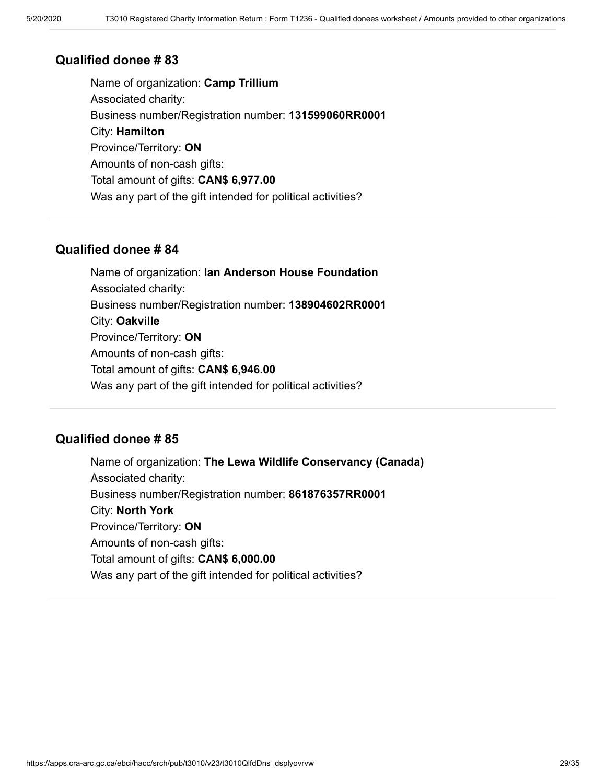Name of organization: **Camp Trillium** Associated charity: Business number/Registration number: **131599060RR0001** City: **Hamilton** Province/Territory: **ON** Amounts of non-cash gifts: Total amount of gifts: **CAN\$ 6,977.00** Was any part of the gift intended for political activities?

### **Qualified donee # 84**

Name of organization: **Ian Anderson House Foundation** Associated charity: Business number/Registration number: **138904602RR0001** City: **Oakville** Province/Territory: **ON** Amounts of non-cash gifts: Total amount of gifts: **CAN\$ 6,946.00** Was any part of the gift intended for political activities?

### **Qualified donee # 85**

Name of organization: **The Lewa Wildlife Conservancy (Canada)** Associated charity: Business number/Registration number: **861876357RR0001** City: **North York** Province/Territory: **ON** Amounts of non-cash gifts: Total amount of gifts: **CAN\$ 6,000.00** Was any part of the gift intended for political activities?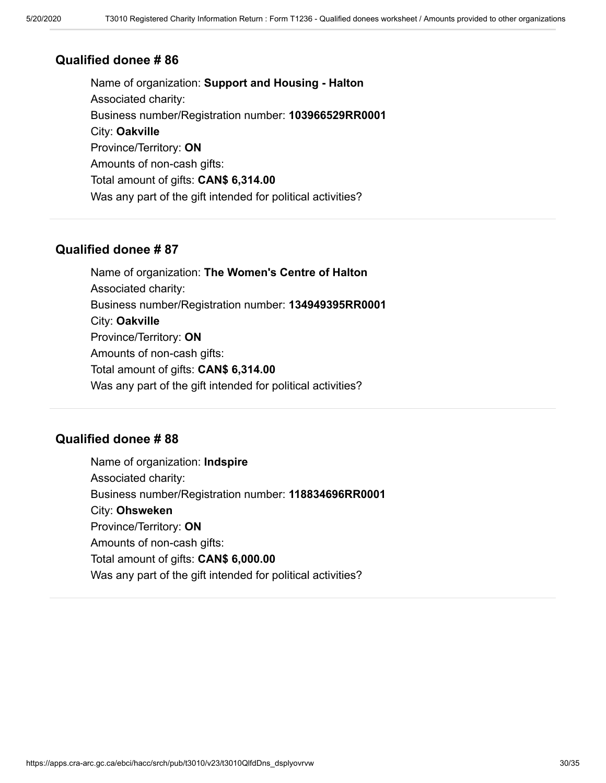Name of organization: **Support and Housing - Halton** Associated charity: Business number/Registration number: **103966529RR0001** City: **Oakville** Province/Territory: **ON** Amounts of non-cash gifts: Total amount of gifts: **CAN\$ 6,314.00** Was any part of the gift intended for political activities?

### **Qualified donee # 87**

Name of organization: **The Women's Centre of Halton** Associated charity: Business number/Registration number: **134949395RR0001** City: **Oakville** Province/Territory: **ON** Amounts of non-cash gifts: Total amount of gifts: **CAN\$ 6,314.00** Was any part of the gift intended for political activities?

### **Qualified donee # 88**

Name of organization: **Indspire** Associated charity: Business number/Registration number: **118834696RR0001** City: **Ohsweken** Province/Territory: **ON** Amounts of non-cash gifts: Total amount of gifts: **CAN\$ 6,000.00** Was any part of the gift intended for political activities?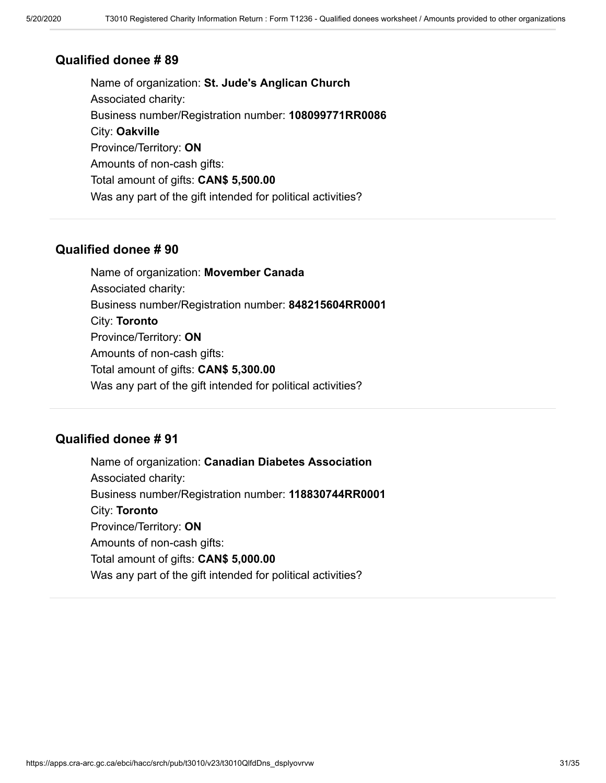Name of organization: **St. Jude's Anglican Church** Associated charity: Business number/Registration number: **108099771RR0086** City: **Oakville** Province/Territory: **ON** Amounts of non-cash gifts: Total amount of gifts: **CAN\$ 5,500.00** Was any part of the gift intended for political activities?

#### **Qualified donee # 90**

Name of organization: **Movember Canada** Associated charity: Business number/Registration number: **848215604RR0001** City: **Toronto** Province/Territory: **ON** Amounts of non-cash gifts: Total amount of gifts: **CAN\$ 5,300.00** Was any part of the gift intended for political activities?

### **Qualified donee # 91**

Name of organization: **Canadian Diabetes Association** Associated charity: Business number/Registration number: **118830744RR0001** City: **Toronto** Province/Territory: **ON** Amounts of non-cash gifts: Total amount of gifts: **CAN\$ 5,000.00** Was any part of the gift intended for political activities?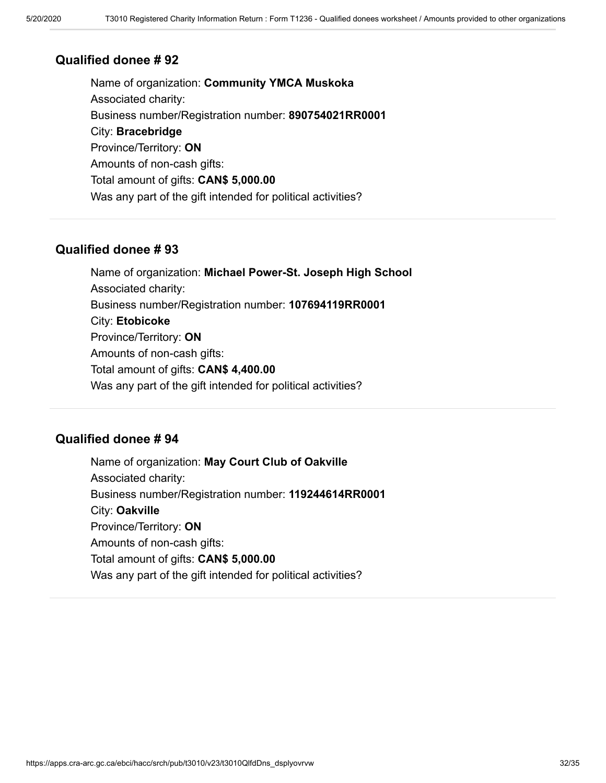Name of organization: **Community YMCA Muskoka** Associated charity: Business number/Registration number: **890754021RR0001** City: **Bracebridge** Province/Territory: **ON** Amounts of non-cash gifts: Total amount of gifts: **CAN\$ 5,000.00** Was any part of the gift intended for political activities?

### **Qualified donee # 93**

Name of organization: **Michael Power-St. Joseph High School** Associated charity: Business number/Registration number: **107694119RR0001** City: **Etobicoke** Province/Territory: **ON** Amounts of non-cash gifts: Total amount of gifts: **CAN\$ 4,400.00** Was any part of the gift intended for political activities?

### **Qualified donee # 94**

Name of organization: **May Court Club of Oakville** Associated charity: Business number/Registration number: **119244614RR0001** City: **Oakville** Province/Territory: **ON** Amounts of non-cash gifts: Total amount of gifts: **CAN\$ 5,000.00** Was any part of the gift intended for political activities?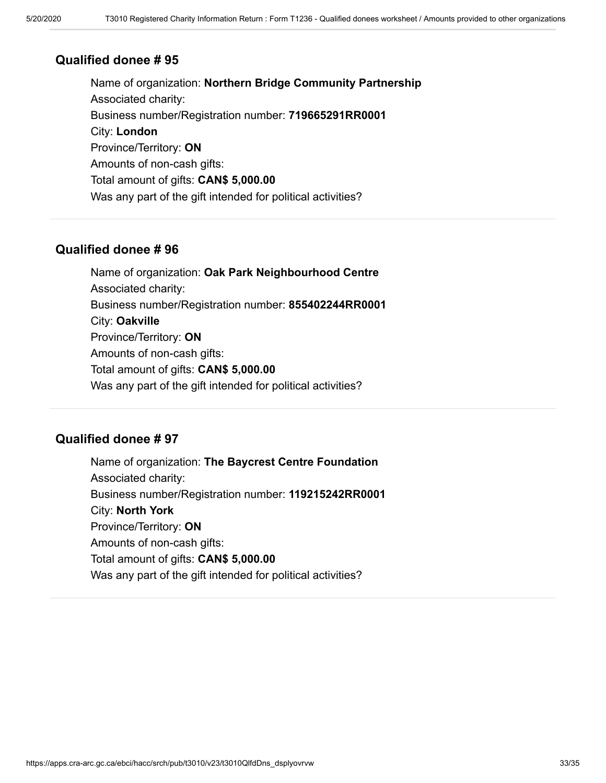Name of organization: **Northern Bridge Community Partnership** Associated charity: Business number/Registration number: **719665291RR0001** City: **London** Province/Territory: **ON** Amounts of non-cash gifts: Total amount of gifts: **CAN\$ 5,000.00** Was any part of the gift intended for political activities?

### **Qualified donee # 96**

Name of organization: **Oak Park Neighbourhood Centre** Associated charity: Business number/Registration number: **855402244RR0001** City: **Oakville** Province/Territory: **ON** Amounts of non-cash gifts: Total amount of gifts: **CAN\$ 5,000.00** Was any part of the gift intended for political activities?

### **Qualified donee # 97**

Name of organization: **The Baycrest Centre Foundation** Associated charity: Business number/Registration number: **119215242RR0001** City: **North York** Province/Territory: **ON** Amounts of non-cash gifts: Total amount of gifts: **CAN\$ 5,000.00** Was any part of the gift intended for political activities?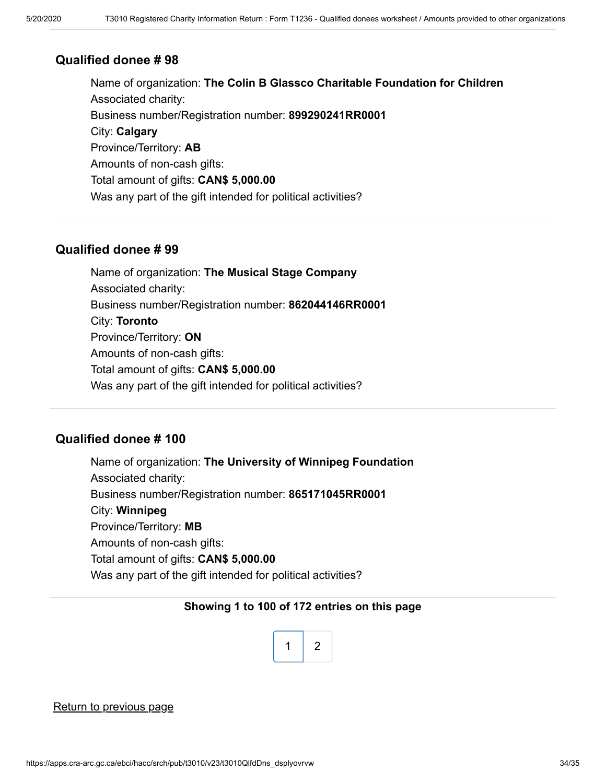Name of organization: **The Colin B Glassco Charitable Foundation for Children** Associated charity: Business number/Registration number: **899290241RR0001** City: **Calgary** Province/Territory: **AB** Amounts of non-cash gifts: Total amount of gifts: **CAN\$ 5,000.00** Was any part of the gift intended for political activities?

#### **Qualified donee # 99**

Name of organization: **The Musical Stage Company** Associated charity: Business number/Registration number: **862044146RR0001** City: **Toronto** Province/Territory: **ON** Amounts of non-cash gifts: Total amount of gifts: **CAN\$ 5,000.00** Was any part of the gift intended for political activities?

### **Qualified donee # 100**

Name of organization: **The University of Winnipeg Foundation** Associated charity: Business number/Registration number: **865171045RR0001** City: **Winnipeg** Province/Territory: **MB** Amounts of non-cash gifts: Total amount of gifts: **CAN\$ 5,000.00** Was any part of the gift intended for political activities?

#### **Showing 1 to 100 of 172 entries on this page**



#### [Return to previous page](https://apps.cra-arc.gc.ca/ebci/hacc/srch/pub/t3010/v23/t3010ovrvw)